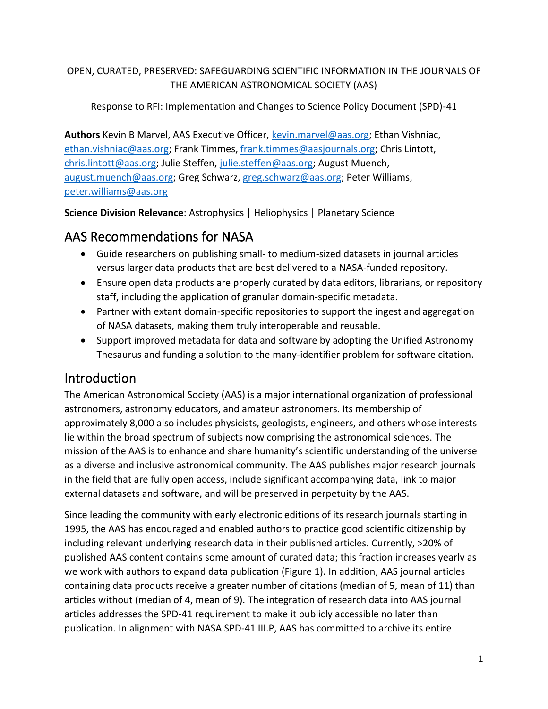#### OPEN, CURATED, PRESERVED: SAFEGUARDING SCIENTIFIC INFORMATION IN THE JOURNALS OF THE AMERICAN ASTRONOMICAL SOCIETY (AAS)

#### Response to RFI: Implementation and Changes to Science Policy Document (SPD)-41

**Authors** Kevin B Marvel, AAS Executive Officer, [kevin.marvel@aas.org;](mailto:kevin.marvel@aas.org) Ethan Vishniac, [ethan.vishniac@aas.org;](mailto:ethan.vishniac@aas.org) Frank Timmes[, frank.timmes@aasjournals.org;](mailto:frank.timmes@aas.journals.org) Chris Lintott, [chris.lintott@aas.org;](mailto:chris.lintott@aas.org) Julie Steffen, [julie.steffen@aas.org;](mailto:julie.steffen@aas.org) August Muench, [august.muench@aas.org;](mailto:august.muench@aas.org) Greg Schwarz, [greg.schwarz@aas.org;](mailto:greg.schwarz@aas.org) Peter Williams, [peter.williams@aas.org](mailto:peter.williams@aas.org)

**Science Division Relevance**: Astrophysics | Heliophysics | Planetary Science

## AAS Recommendations for NASA

- Guide researchers on publishing small- to medium-sized datasets in journal articles versus larger data products that are best delivered to a NASA-funded repository.
- Ensure open data products are properly curated by data editors, librarians, or repository staff, including the application of granular domain-specific metadata.
- Partner with extant domain-specific repositories to support the ingest and aggregation of NASA datasets, making them truly interoperable and reusable.
- Support improved metadata for data and software by adopting the Unified Astronomy Thesaurus and funding a solution to the many-identifier problem for software citation.

# Introduction

The American Astronomical Society (AAS) is a major international organization of professional astronomers, astronomy educators, and amateur astronomers. Its membership of approximately 8,000 also includes physicists, geologists, engineers, and others whose interests lie within the broad spectrum of subjects now comprising the astronomical sciences. The mission of the AAS is to enhance and share humanity's scientific understanding of the universe as a diverse and inclusive astronomical community. The AAS publishes major research journals in the field that are fully open access, include significant accompanying data, link to major external datasets and software, and will be preserved in perpetuity by the AAS.

Since leading the community with early electronic editions of its research journals starting in 1995, the AAS has encouraged and enabled authors to practice good scientific citizenship by including relevant underlying research data in their published articles. Currently, >20% of published AAS content contains some amount of curated data; this fraction increases yearly as we work with authors to expand data publication (Figure 1). In addition, AAS journal articles containing data products receive a greater number of citations (median of 5, mean of 11) than articles without (median of 4, mean of 9). The integration of research data into AAS journal articles addresses the SPD-41 requirement to make it publicly accessible no later than publication. In alignment with NASA SPD-41 III.P, AAS has committed to archive its entire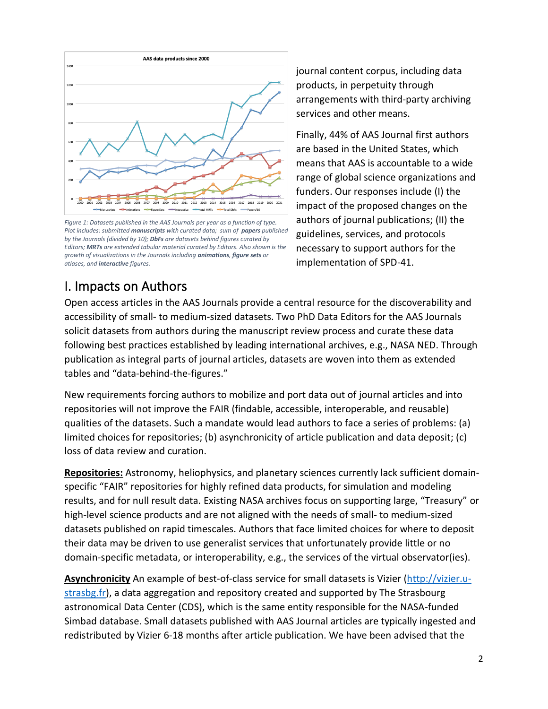

*Figure 1: Datasets published in the AAS Journals per year as a function of type. Plot includes: submitted manuscripts with curated data; sum of papers published by the Journals (divided by 10); DbFs are datasets behind figures curated by Editors; MRTs are extended tabular material curated by Editors. Also shown is the growth of visualizations in the Journals including animations, figure sets or atlases, and interactive figures.*

journal content corpus, including data products, in perpetuity through arrangements with third-party archiving services and other means.

Finally, 44% of AAS Journal first authors are based in the United States, which means that AAS is accountable to a wide range of global science organizations and funders. Our responses include (I) the impact of the proposed changes on the authors of journal publications; (II) the guidelines, services, and protocols necessary to support authors for the implementation of SPD-41.

# I. Impacts on Authors

Open access articles in the AAS Journals provide a central resource for the discoverability and accessibility of small- to medium-sized datasets. Two PhD Data Editors for the AAS Journals solicit datasets from authors during the manuscript review process and curate these data following best practices established by leading international archives, e.g., NASA NED. Through publication as integral parts of journal articles, datasets are woven into them as extended tables and "data-behind-the-figures."

New requirements forcing authors to mobilize and port data out of journal articles and into repositories will not improve the FAIR (findable, accessible, interoperable, and reusable) qualities of the datasets. Such a mandate would lead authors to face a series of problems: (a) limited choices for repositories; (b) asynchronicity of article publication and data deposit; (c) loss of data review and curation.

**Repositories:** Astronomy, heliophysics, and planetary sciences currently lack sufficient domainspecific "FAIR" repositories for highly refined data products, for simulation and modeling results, and for null result data. Existing NASA archives focus on supporting large, "Treasury" or high-level science products and are not aligned with the needs of small- to medium-sized datasets published on rapid timescales. Authors that face limited choices for where to deposit their data may be driven to use generalist services that unfortunately provide little or no domain-specific metadata, or interoperability, e.g., the services of the virtual observator(ies).

**Asynchronicity** An example of best-of-class service for small datasets is Vizier [\(http://vizier.u](http://vizier.u-strasbg.fr/)[strasbg.fr\)](http://vizier.u-strasbg.fr/), a data aggregation and repository created and supported by The Strasbourg astronomical Data Center (CDS), which is the same entity responsible for the NASA-funded Simbad database. Small datasets published with AAS Journal articles are typically ingested and redistributed by Vizier 6-18 months after article publication. We have been advised that the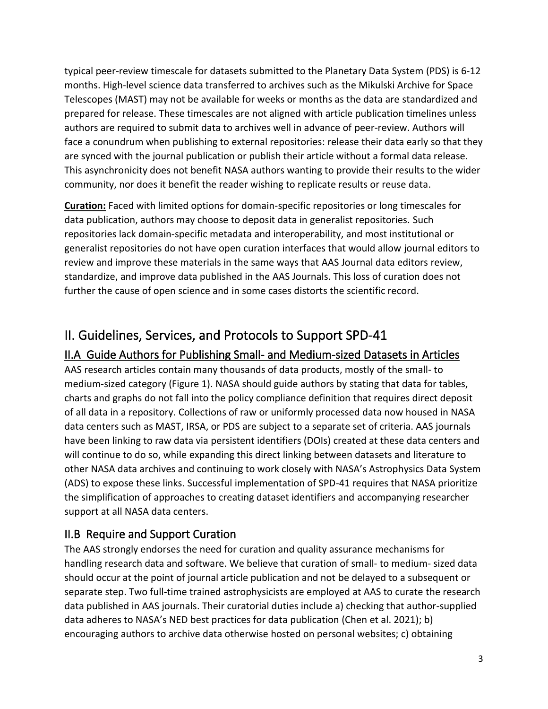typical peer-review timescale for datasets submitted to the Planetary Data System (PDS) is 6-12 months. High-level science data transferred to archives such as the Mikulski Archive for Space Telescopes (MAST) may not be available for weeks or months as the data are standardized and prepared for release. These timescales are not aligned with article publication timelines unless authors are required to submit data to archives well in advance of peer-review. Authors will face a conundrum when publishing to external repositories: release their data early so that they are synced with the journal publication or publish their article without a formal data release. This asynchronicity does not benefit NASA authors wanting to provide their results to the wider community, nor does it benefit the reader wishing to replicate results or reuse data.

**Curation:** Faced with limited options for domain-specific repositories or long timescales for data publication, authors may choose to deposit data in generalist repositories. Such repositories lack domain-specific metadata and interoperability, and most institutional or generalist repositories do not have open curation interfaces that would allow journal editors to review and improve these materials in the same ways that AAS Journal data editors review, standardize, and improve data published in the AAS Journals. This loss of curation does not further the cause of open science and in some cases distorts the scientific record.

# II. Guidelines, Services, and Protocols to Support SPD-41

#### II.A Guide Authors for Publishing Small- and Medium-sized Datasets in Articles

AAS research articles contain many thousands of data products, mostly of the small- to medium-sized category (Figure 1). NASA should guide authors by stating that data for tables, charts and graphs do not fall into the policy compliance definition that requires direct deposit of all data in a repository. Collections of raw or uniformly processed data now housed in NASA data centers such as MAST, IRSA, or PDS are subject to a separate set of criteria. AAS journals have been linking to raw data via persistent identifiers (DOIs) created at these data centers and will continue to do so, while expanding this direct linking between datasets and literature to other NASA data archives and continuing to work closely with NASA's Astrophysics Data System (ADS) to expose these links. Successful implementation of SPD-41 requires that NASA prioritize the simplification of approaches to creating dataset identifiers and accompanying researcher support at all NASA data centers.

#### II.B Require and Support Curation

The AAS strongly endorses the need for curation and quality assurance mechanisms for handling research data and software. We believe that curation of small- to medium- sized data should occur at the point of journal article publication and not be delayed to a subsequent or separate step. Two full-time trained astrophysicists are employed at AAS to curate the research data published in AAS journals. Their curatorial duties include a) checking that author-supplied data adheres to NASA's NED best practices for data publication (Chen et al. 2021); b) encouraging authors to archive data otherwise hosted on personal websites; c) obtaining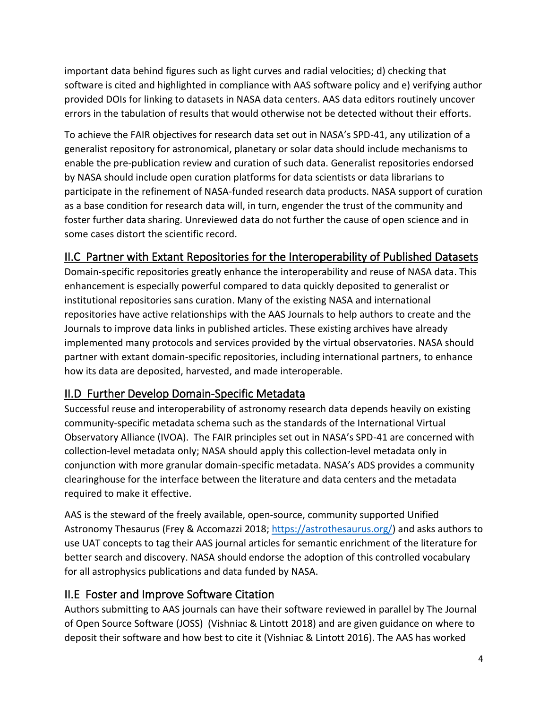important data behind figures such as light curves and radial velocities; d) checking that software is cited and highlighted in compliance with AAS software policy and e) verifying author provided DOIs for linking to datasets in NASA data centers. AAS data editors routinely uncover errors in the tabulation of results that would otherwise not be detected without their efforts.

To achieve the FAIR objectives for research data set out in NASA's SPD-41, any utilization of a generalist repository for astronomical, planetary or solar data should include mechanisms to enable the pre-publication review and curation of such data. Generalist repositories endorsed by NASA should include open curation platforms for data scientists or data librarians to participate in the refinement of NASA-funded research data products. NASA support of curation as a base condition for research data will, in turn, engender the trust of the community and foster further data sharing. Unreviewed data do not further the cause of open science and in some cases distort the scientific record.

### II.C Partner with Extant Repositories for the Interoperability of Published Datasets

Domain-specific repositories greatly enhance the interoperability and reuse of NASA data. This enhancement is especially powerful compared to data quickly deposited to generalist or institutional repositories sans curation. Many of the existing NASA and international repositories have active relationships with the AAS Journals to help authors to create and the Journals to improve data links in published articles. These existing archives have already implemented many protocols and services provided by the virtual observatories. NASA should partner with extant domain-specific repositories, including international partners, to enhance how its data are deposited, harvested, and made interoperable.

#### II.D Further Develop Domain-Specific Metadata

Successful reuse and interoperability of astronomy research data depends heavily on existing community-specific metadata schema such as the standards of the International Virtual Observatory Alliance (IVOA). The FAIR principles set out in NASA's SPD-41 are concerned with collection-level metadata only; NASA should apply this collection-level metadata only in conjunction with more granular domain-specific metadata. NASA's ADS provides a community clearinghouse for the interface between the literature and data centers and the metadata required to make it effective.

AAS is the steward of the freely available, open-source, community supported Unified Astronomy Thesaurus (Frey & Accomazzi 2018[; https://astrothesaurus.org/\)](https://astrothesaurus.org/) and asks authors to use UAT concepts to tag their AAS journal articles for semantic enrichment of the literature for better search and discovery. NASA should endorse the adoption of this controlled vocabulary for all astrophysics publications and data funded by NASA.

#### II.E Foster and Improve Software Citation

Authors submitting to AAS journals can have their software reviewed in parallel by The Journal of Open Source Software (JOSS) (Vishniac & Lintott 2018) and are given guidance on where to deposit their software and how best to cite it (Vishniac & Lintott 2016). The AAS has worked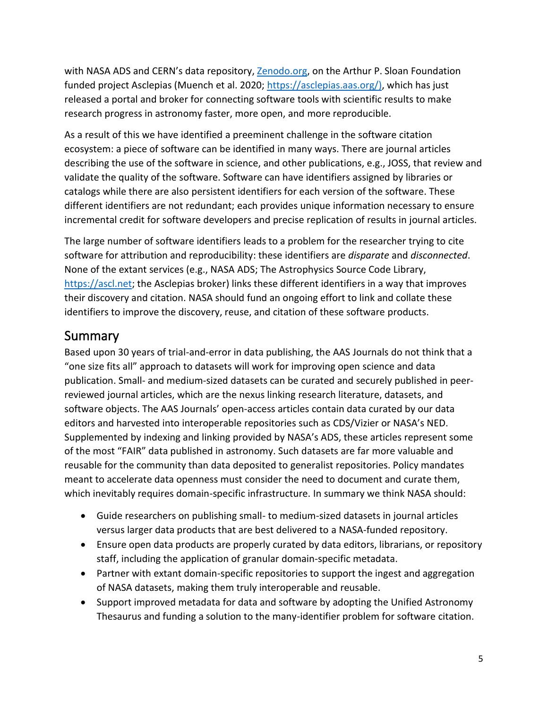with NASA ADS and CERN's data repository, [Zenodo.org,](http://zenodo.org/) on the Arthur P. Sloan Foundation funded project Asclepias (Muench et al. 2020; [https://asclepias.aas.org/\)](https://asclepias.aas.org/), which has just released a portal and broker for connecting software tools with scientific results to make research progress in astronomy faster, more open, and more reproducible.

As a result of this we have identified a preeminent challenge in the software citation ecosystem: a piece of software can be identified in many ways. There are journal articles describing the use of the software in science, and other publications, e.g., JOSS, that review and validate the quality of the software. Software can have identifiers assigned by libraries or catalogs while there are also persistent identifiers for each version of the software. These different identifiers are not redundant; each provides unique information necessary to ensure incremental credit for software developers and precise replication of results in journal articles.

The large number of software identifiers leads to a problem for the researcher trying to cite software for attribution and reproducibility: these identifiers are *disparate* and *disconnected*. None of the extant services (e.g., NASA ADS; The Astrophysics Source Code Library, [https://ascl.net;](https://ascl.net/) the Asclepias broker) links these different identifiers in a way that improves their discovery and citation. NASA should fund an ongoing effort to link and collate these identifiers to improve the discovery, reuse, and citation of these software products.

### Summary

Based upon 30 years of trial-and-error in data publishing, the AAS Journals do not think that a "one size fits all" approach to datasets will work for improving open science and data publication. Small- and medium-sized datasets can be curated and securely published in peerreviewed journal articles, which are the nexus linking research literature, datasets, and software objects. The AAS Journals' open-access articles contain data curated by our data editors and harvested into interoperable repositories such as CDS/Vizier or NASA's NED. Supplemented by indexing and linking provided by NASA's ADS, these articles represent some of the most "FAIR" data published in astronomy. Such datasets are far more valuable and reusable for the community than data deposited to generalist repositories. Policy mandates meant to accelerate data openness must consider the need to document and curate them, which inevitably requires domain-specific infrastructure. In summary we think NASA should:

- Guide researchers on publishing small- to medium-sized datasets in journal articles versus larger data products that are best delivered to a NASA-funded repository.
- Ensure open data products are properly curated by data editors, librarians, or repository staff, including the application of granular domain-specific metadata.
- Partner with extant domain-specific repositories to support the ingest and aggregation of NASA datasets, making them truly interoperable and reusable.
- Support improved metadata for data and software by adopting the Unified Astronomy Thesaurus and funding a solution to the many-identifier problem for software citation.